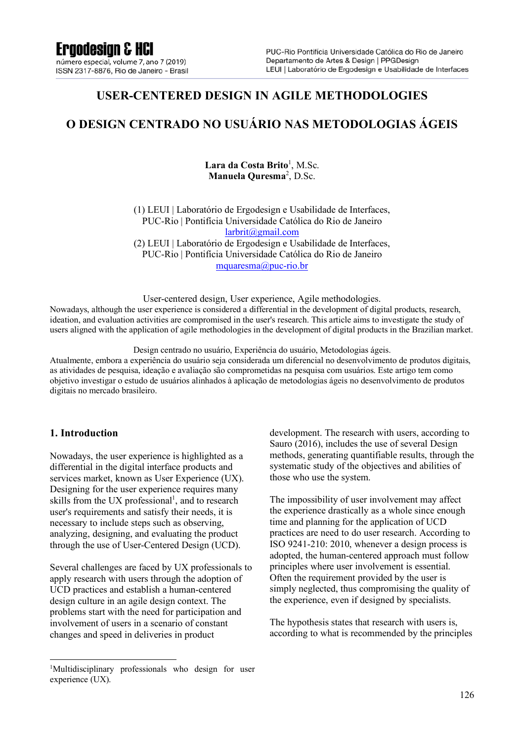## **USER-CENTERED DESIGN IN AGILE METHODOLOGIES**

## **O DESIGN CENTRADO NO USUÁRIO NAS METODOLOGIAS ÁGEIS**

#### Lara da Costa Brito<sup>1</sup>, M.Sc. **Manuela Quresma**<sup>2</sup> , D.Sc.

(1) LEUI | Laboratório de Ergodesign e Usabilidade de Interfaces, PUC-Rio | Pontifícia Universidade Católica do Rio de Janeiro larbrit@gmail.com (2) LEUI | Laboratório de Ergodesign e Usabilidade de Interfaces, PUC-Rio | Pontifícia Universidade Católica do Rio de Janeiro mquaresma@puc-rio.br

User-centered design, User experience, Agile methodologies. Nowadays, although the user experience is considered a differential in the development of digital products, research, ideation, and evaluation activities are compromised in the user's research. This article aims to investigate the study of users aligned with the application of agile methodologies in the development of digital products in the Brazilian market.

Design centrado no usuário, Experiência do usuário, Metodologias ágeis.

Atualmente, embora a experiência do usuário seja considerada um diferencial no desenvolvimento de produtos digitais, as atividades de pesquisa, ideação e avaliação são comprometidas na pesquisa com usuários. Este artigo tem como objetivo investigar o estudo de usuários alinhados à aplicação de metodologias ágeis no desenvolvimento de produtos digitais no mercado brasileiro.

#### **1. Introduction**

Nowadays, the user experience is highlighted as a differential in the digital interface products and services market, known as User Experience (UX). Designing for the user experience requires many skills from the UX professional<sup>1</sup>, and to research user's requirements and satisfy their needs, it is necessary to include steps such as observing, analyzing, designing, and evaluating the product through the use of User-Centered Design (UCD).

Several challenges are faced by UX professionals to apply research with users through the adoption of UCD practices and establish a human-centered design culture in an agile design context. The problems start with the need for participation and involvement of users in a scenario of constant changes and speed in deliveries in product

development. The research with users, according to Sauro (2016), includes the use of several Design methods, generating quantifiable results, through the systematic study of the objectives and abilities of those who use the system.

The impossibility of user involvement may affect the experience drastically as a whole since enough time and planning for the application of UCD practices are need to do user research. According to ISO 9241-210: 2010, whenever a design process is adopted, the human-centered approach must follow principles where user involvement is essential. Often the requirement provided by the user is simply neglected, thus compromising the quality of the experience, even if designed by specialists.

The hypothesis states that research with users is, according to what is recommended by the principles

<sup>1</sup> Multidisciplinary professionals who design for user experience (UX).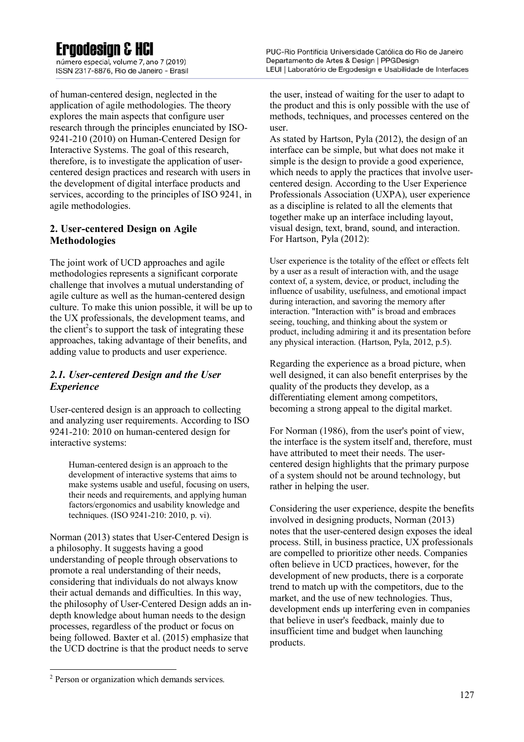## **Ergodesian & HCI**

número especial, volume 7, ano 7 (2019) ISSN 2317-8876, Rio de Janeiro - Brasil

of human-centered design, neglected in the application of agile methodologies. The theory explores the main aspects that configure user research through the principles enunciated by ISO-9241-210 (2010) on Human-Centered Design for Interactive Systems. The goal of this research, therefore, is to investigate the application of usercentered design practices and research with users in the development of digital interface products and services, according to the principles of ISO 9241, in agile methodologies.

#### **2. User-centered Design on Agile Methodologies**

The joint work of UCD approaches and agile methodologies represents a significant corporate challenge that involves a mutual understanding of agile culture as well as the human-centered design culture. To make this union possible, it will be up to the UX professionals, the development teams, and the client<sup>2</sup>s to support the task of integrating these approaches, taking advantage of their benefits, and adding value to products and user experience.

#### *2.1. User-centered Design and the User Experience*

User-centered design is an approach to collecting and analyzing user requirements. According to ISO 9241-210: 2010 on human-centered design for interactive systems:

Human-centered design is an approach to the development of interactive systems that aims to make systems usable and useful, focusing on users, their needs and requirements, and applying human factors/ergonomics and usability knowledge and techniques. (ISO 9241-210: 2010, p. vi).

Norman (2013) states that User-Centered Design is a philosophy. It suggests having a good understanding of people through observations to promote a real understanding of their needs, considering that individuals do not always know their actual demands and difficulties. In this way, the philosophy of User-Centered Design adds an indepth knowledge about human needs to the design processes, regardless of the product or focus on being followed. Baxter et al. (2015) emphasize that the UCD doctrine is that the product needs to serve

PUC-Rio Pontifícia Universidade Católica do Rio de Janeiro Departamento de Artes & Design | PPGDesign LEUI | Laboratório de Ergodesign e Usabilidade de Interfaces

the user, instead of waiting for the user to adapt to the product and this is only possible with the use of methods, techniques, and processes centered on the user.

As stated by Hartson, Pyla (2012), the design of an interface can be simple, but what does not make it simple is the design to provide a good experience, which needs to apply the practices that involve usercentered design. According to the User Experience Professionals Association (UXPA), user experience as a discipline is related to all the elements that together make up an interface including layout, visual design, text, brand, sound, and interaction. For Hartson, Pyla (2012):

User experience is the totality of the effect or effects felt by a user as a result of interaction with, and the usage context of, a system, device, or product, including the influence of usability, usefulness, and emotional impact during interaction, and savoring the memory after interaction. "Interaction with" is broad and embraces seeing, touching, and thinking about the system or product, including admiring it and its presentation before any physical interaction. (Hartson, Pyla, 2012, p.5).

Regarding the experience as a broad picture, when well designed, it can also benefit enterprises by the quality of the products they develop, as a differentiating element among competitors, becoming a strong appeal to the digital market.

For Norman (1986), from the user's point of view, the interface is the system itself and, therefore, must have attributed to meet their needs. The usercentered design highlights that the primary purpose of a system should not be around technology, but rather in helping the user.

Considering the user experience, despite the benefits involved in designing products, Norman (2013) notes that the user-centered design exposes the ideal process. Still, in business practice, UX professionals are compelled to prioritize other needs. Companies often believe in UCD practices, however, for the development of new products, there is a corporate trend to match up with the competitors, due to the market, and the use of new technologies. Thus, development ends up interfering even in companies that believe in user's feedback, mainly due to insufficient time and budget when launching products.

<sup>2</sup> Person or organization which demands services.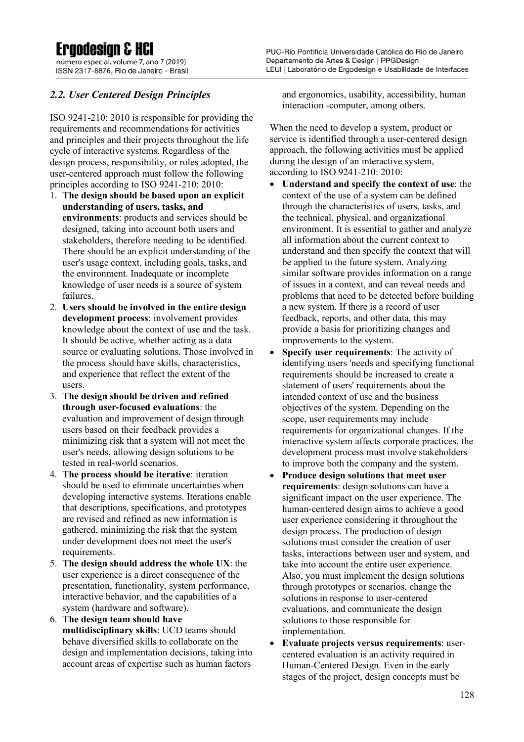## **Ergodesian & HCI**

número especial, volume 7, ano 7 (2019) ISSN 2317-8876, Rio de Janeiro - Brasil

### *2.2. User Centered Design Principles*

ISO 9241-210: 2010 is responsible for providing the requirements and recommendations for activities and principles and their projects throughout the life cycle of interactive systems. Regardless of the design process, responsibility, or roles adopted, the user-centered approach must follow the following principles according to ISO 9241-210: 2010:

- 1. **The design should be based upon an explicit understanding of users, tasks, and environments**: products and services should be designed, taking into account both users and stakeholders, therefore needing to be identified. There should be an explicit understanding of the user's usage context, including goals, tasks, and the environment. Inadequate or incomplete knowledge of user needs is a source of system failures.
- 2. **Users should be involved in the entire design development process**: involvement provides knowledge about the context of use and the task. It should be active, whether acting as a data source or evaluating solutions. Those involved in the process should have skills, characteristics, and experience that reflect the extent of the users.
- 3. **The design should be driven and refined through user-focused evaluations**: the evaluation and improvement of design through users based on their feedback provides a minimizing risk that a system will not meet the user's needs, allowing design solutions to be tested in real-world scenarios.
- 4. **The process should be iterative**: iteration should be used to eliminate uncertainties when developing interactive systems. Iterations enable that descriptions, specifications, and prototypes are revised and refined as new information is gathered, minimizing the risk that the system under development does not meet the user's requirements.
- 5. **The design should address the whole UX**: the user experience is a direct consequence of the presentation, functionality, system performance, interactive behavior, and the capabilities of a system (hardware and software).
- 6. **The design team should have multidisciplinary skills**: UCD teams should behave diversified skills to collaborate on the design and implementation decisions, taking into account areas of expertise such as human factors

PUC-Rio Pontifícia Universidade Católica do Rio de Janeiro Departamento de Artes & Design | PPGDesign LEUI | Laboratório de Ergodesign e Usabilidade de Interfaces

and ergonomics, usability, accessibility, human interaction -computer, among others.

When the need to develop a system, product or service is identified through a user-centered design approach, the following activities must be applied during the design of an interactive system, according to ISO 9241-210: 2010:

- **Understand and specify the context of use**: the context of the use of a system can be defined through the characteristics of users, tasks, and the technical, physical, and organizational environment. It is essential to gather and analyze all information about the current context to understand and then specify the context that will be applied to the future system. Analyzing similar software provides information on a range of issues in a context, and can reveal needs and problems that need to be detected before building a new system. If there is a record of user feedback, reports, and other data, this may provide a basis for prioritizing changes and improvements to the system.
- **Specify user requirements**: The activity of identifying users 'needs and specifying functional requirements should be increased to create a statement of users' requirements about the intended context of use and the business objectives of the system. Depending on the scope, user requirements may include requirements for organizational changes. If the interactive system affects corporate practices, the development process must involve stakeholders to improve both the company and the system.
- **Produce design solutions that meet user requirements**: design solutions can have a significant impact on the user experience. The human-centered design aims to achieve a good user experience considering it throughout the design process. The production of design solutions must consider the creation of user tasks, interactions between user and system, and take into account the entire user experience. Also, you must implement the design solutions through prototypes or scenarios, change the solutions in response to user-centered evaluations, and communicate the design solutions to those responsible for implementation.
- **Evaluate projects versus requirements**: usercentered evaluation is an activity required in Human-Centered Design. Even in the early stages of the project, design concepts must be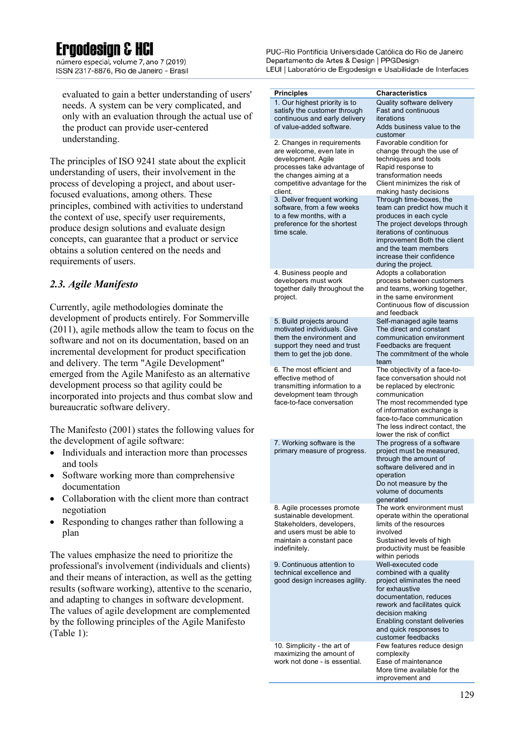## **Ergodesian & HCl**

número especial, volume 7, ano 7 (2019) ISSN 2317-8876, Rio de Janeiro - Brasil

evaluated to gain a better understanding of users' needs. A system can be very complicated, and only with an evaluation through the actual use of the product can provide user-centered understanding.

The principles of ISO 9241 state about the explicit understanding of users, their involvement in the process of developing a project, and about userfocused evaluations, among others. These principles, combined with activities to understand the context of use, specify user requirements, produce design solutions and evaluate design concepts, can guarantee that a product or service obtains a solution centered on the needs and requirements of users.

#### *2.3. Agile Manifesto*

Currently, agile methodologies dominate the development of products entirely. For Sommerville (2011), agile methods allow the team to focus on the software and not on its documentation, based on an incremental development for product specification and delivery. The term "Agile Development" emerged from the Agile Manifesto as an alternative development process so that agility could be incorporated into projects and thus combat slow and bureaucratic software delivery.

The Manifesto (2001) states the following values for the development of agile software:

- Individuals and interaction more than processes and tools
- Software working more than comprehensive documentation
- Collaboration with the client more than contract negotiation
- Responding to changes rather than following a plan

The values emphasize the need to prioritize the professional's involvement (individuals and clients) and their means of interaction, as well as the getting results (software working), attentive to the scenario, and adapting to changes in software development. The values of agile development are complemented by the following principles of the Agile Manifesto (Table 1):

PUC-Rio Pontifícia Universidade Católica do Rio de Janeiro Departamento de Artes & Design | PPGDesign LEUI | Laboratório de Ergodesign e Usabilidade de Interfaces

| <b>Principles</b>                                                                                                                  | <b>Characteristics</b>                                                                                                                                                       |
|------------------------------------------------------------------------------------------------------------------------------------|------------------------------------------------------------------------------------------------------------------------------------------------------------------------------|
| 1. Our highest priority is to<br>satisfy the customer through<br>continuous and early delivery                                     | Quality software delivery<br>Fast and continuous<br>iterations                                                                                                               |
| of value-added software.                                                                                                           | Adds business value to the<br>customer                                                                                                                                       |
| 2. Changes in requirements<br>are welcome, even late in<br>development. Agile                                                      | Favorable condition for<br>change through the use of<br>techniques and tools                                                                                                 |
| processes take advantage of<br>the changes aiming at a                                                                             | Rapid response to<br>transformation needs                                                                                                                                    |
| competitive advantage for the<br>client.                                                                                           | Client minimizes the risk of<br>making hasty decisions                                                                                                                       |
| 3. Deliver frequent working<br>software, from a few weeks<br>to a few months, with a<br>preference for the shortest<br>time scale. | Through time-boxes, the<br>team can predict how much it<br>produces in each cycle<br>The project develops through<br>iterations of continuous<br>improvement Both the client |
|                                                                                                                                    | and the team members<br>increase their confidence                                                                                                                            |
| 4. Business people and<br>developers must work                                                                                     | during the project.<br>Adopts a collaboration<br>process between customers                                                                                                   |
| together daily throughout the<br>project.                                                                                          | and teams, working together,<br>in the same environment<br>Continuous flow of discussion<br>and feedback                                                                     |
| 5. Build projects around<br>motivated individuals. Give                                                                            | Self-managed agile teams<br>The direct and constant                                                                                                                          |
| them the environment and<br>support they need and trust<br>them to get the job done.                                               | communication environment<br>Feedbacks are frequent<br>The commitment of the whole<br>team                                                                                   |
| 6. The most efficient and<br>effective method of<br>transmitting information to a<br>development team through                      | The objectivity of a face-to-<br>face conversation should not<br>be replaced by electronic<br>communication                                                                  |
| face-to-face conversation                                                                                                          | The most recommended type<br>of information exchange is<br>face-to-face communication<br>The less indirect contact, the<br>lower the risk of conflict                        |
| 7. Working software is the<br>primary measure of progress.                                                                         | The progress of a software<br>project must be measured.<br>through the amount of                                                                                             |
|                                                                                                                                    | software delivered and in<br>operation<br>Do not measure by the<br>volume of documents                                                                                       |
| 8. Agile processes promote                                                                                                         | generated<br>The work environment must                                                                                                                                       |
| sustainable development.<br>Stakeholders, developers,<br>and users must be able to<br>maintain a constant pace                     | operate within the operational<br>limits of the resources<br>involved<br>Sustained levels of high                                                                            |
| indefinitely.                                                                                                                      | productivity must be feasible<br>within periods                                                                                                                              |
| 9. Continuous attention to<br>technical excellence and<br>good design increases agility.                                           | Well-executed code<br>combined with a quality<br>project eliminates the need                                                                                                 |
|                                                                                                                                    | for exhaustive<br>documentation, reduces<br>rework and facilitates quick<br>decision making<br>Enabling constant deliveries                                                  |
|                                                                                                                                    | and quick responses to<br>customer feedbacks                                                                                                                                 |
| 10. Simplicity - the art of<br>maximizing the amount of<br>work not done - is essential.                                           | Few features reduce design<br>complexity<br>Ease of maintenance<br>More time available for the                                                                               |
|                                                                                                                                    | improvement and                                                                                                                                                              |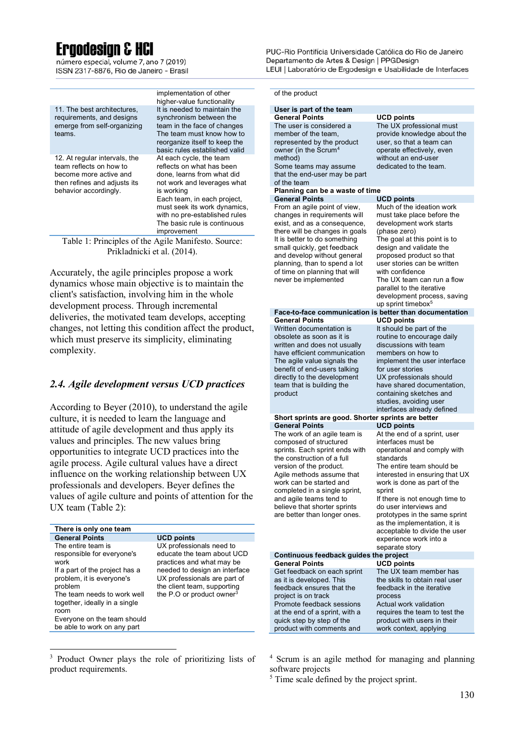## **Ergodesign & HCI**

número especial, volume 7, ano 7 (2019) ISSN 2317-8876, Rio de Janeiro - Brasil

|                                                                                                                    | implementation of other<br>higher-value functionality                                                                      | of the product                                                                                                                 |                                                                                                  |  |  |
|--------------------------------------------------------------------------------------------------------------------|----------------------------------------------------------------------------------------------------------------------------|--------------------------------------------------------------------------------------------------------------------------------|--------------------------------------------------------------------------------------------------|--|--|
| 11. The best architectures,                                                                                        | It is needed to maintain the                                                                                               | User is part of the team                                                                                                       |                                                                                                  |  |  |
| requirements, and designs                                                                                          | synchronism between the                                                                                                    | <b>General Points</b>                                                                                                          | <b>UCD points</b>                                                                                |  |  |
| emerge from self-organizing<br>teams.                                                                              | team in the face of changes<br>The team must know how to<br>reorganize itself to keep the<br>basic rules established valid | The user is considered a<br>member of the team.<br>represented by the product<br>owner (in the Scrum <sup>4</sup>              | The UX professional<br>provide knowledge al<br>user, so that a team o<br>operate effectively, ev |  |  |
| 12. At regular intervals, the<br>team reflects on how to<br>become more active and<br>then refines and adjusts its | At each cycle, the team<br>reflects on what has been<br>done, learns from what did<br>not work and leverages what          | method)<br>Some teams may assume<br>that the end-user may be part<br>of the team                                               | without an end-user<br>dedicated to the team                                                     |  |  |
| behavior accordingly.                                                                                              | is working                                                                                                                 | Planning can be a waste of time                                                                                                |                                                                                                  |  |  |
|                                                                                                                    | Each team, in each project,                                                                                                | <b>General Points</b>                                                                                                          | <b>UCD points</b>                                                                                |  |  |
|                                                                                                                    | must seek its work dynamics,<br>with no pre-established rules<br>The basic rule is continuous<br>improvement               | From an agile point of view,<br>changes in requirements will<br>exist, and as a consequence,<br>there will be changes in goals | Much of the ideation<br>must take place befor<br>development work sta<br>(phase zero)            |  |  |
|                                                                                                                    | Table 1: Principles of the Agile Manifesto. Source:<br>Prikladnicki et al. (2014).                                         | It is better to do something<br>small quickly, get feedback<br>and develop without general<br>planning than to spand a lot     | The goal at this point<br>design and validate th<br>proposed product so<br>usar storias can ha w |  |  |

Accurately, the agile principles propose a work dynamics whose main objective is to maintain the client's satisfaction, involving him in the whole development process. Through incremental deliveries, the motivated team develops, accepting changes, not letting this condition affect the product, which must preserve its simplicity, eliminating complexity.

#### *2.4. Agile development versus UCD practices*

According to Beyer (2010), to understand the agile culture, it is needed to learn the language and attitude of agile development and thus apply its values and principles. The new values bring opportunities to integrate UCD practices into the agile process. Agile cultural values have a direct influence on the working relationship between UX professionals and developers. Beyer defines the values of agile culture and points of attention for the UX team (Table 2):

| <b>General Points</b>                                                                                                                                                                                                                                                    | <b>UCD points</b>                                                                                                                                                                                                            |
|--------------------------------------------------------------------------------------------------------------------------------------------------------------------------------------------------------------------------------------------------------------------------|------------------------------------------------------------------------------------------------------------------------------------------------------------------------------------------------------------------------------|
| The entire team is<br>responsible for everyone's<br>work<br>If a part of the project has a<br>problem, it is everyone's<br>problem<br>The team needs to work well<br>together, ideally in a single<br>room<br>Everyone on the team should<br>be able to work on any part | UX professionals need to<br>educate the team about UCD<br>practices and what may be<br>needed to design an interface<br>UX professionals are part of<br>the client team, supporting<br>the P.O or product owner <sup>3</sup> |

<sup>3</sup> Product Owner plays the role of prioritizing lists of product requirements.

 $\overline{a}$ 

PUC-Rio Pontifícia Universidade Católica do Rio de Janeiro Departamento de Artes & Design | PPGDesign LEUI | Laboratório de Ergodesign e Usabilidade de Interfaces

| User is part of the team                                                                                                                                                                                                                                                                                                              |                                                                                                                                                                                                                                                                                                                                                                                                                  |
|---------------------------------------------------------------------------------------------------------------------------------------------------------------------------------------------------------------------------------------------------------------------------------------------------------------------------------------|------------------------------------------------------------------------------------------------------------------------------------------------------------------------------------------------------------------------------------------------------------------------------------------------------------------------------------------------------------------------------------------------------------------|
| <b>General Points</b>                                                                                                                                                                                                                                                                                                                 | <b>UCD points</b>                                                                                                                                                                                                                                                                                                                                                                                                |
| The user is considered a<br>member of the team.<br>represented by the product<br>owner (in the Scrum <sup>4</sup><br>method)<br>Some teams may assume<br>that the end-user may be part<br>of the team                                                                                                                                 | The UX professional must<br>provide knowledge about the<br>user, so that a team can<br>operate effectively, even<br>without an end-user<br>dedicated to the team.                                                                                                                                                                                                                                                |
| Planning can be a waste of time                                                                                                                                                                                                                                                                                                       |                                                                                                                                                                                                                                                                                                                                                                                                                  |
| <b>General Points</b>                                                                                                                                                                                                                                                                                                                 | <b>UCD points</b>                                                                                                                                                                                                                                                                                                                                                                                                |
| From an agile point of view,<br>changes in requirements will<br>exist, and as a consequence,<br>there will be changes in goals<br>It is better to do something<br>small quickly, get feedback<br>and develop without general<br>planning, than to spend a lot<br>of time on planning that will<br>never be implemented                | Much of the ideation work<br>must take place before the<br>development work starts<br>(phase zero)<br>The goal at this point is to<br>design and validate the<br>proposed product so that<br>user stories can be written<br>with confidence<br>The UX team can run a flow<br>parallel to the iterative<br>development process, saving<br>up sprint timebox <sup>5</sup>                                          |
| Face-to-face communication is better than documentation<br><b>General Points</b>                                                                                                                                                                                                                                                      |                                                                                                                                                                                                                                                                                                                                                                                                                  |
| Written documentation is<br>obsolete as soon as it is<br>written and does not usually<br>have efficient communication<br>The agile value signals the<br>benefit of end-users talking                                                                                                                                                  | <b>UCD points</b><br>It should be part of the<br>routine to encourage daily<br>discussions with team<br>members on how to<br>implement the user interface<br>for user stories                                                                                                                                                                                                                                    |
| directly to the development<br>team that is building the<br>product                                                                                                                                                                                                                                                                   | UX professionals should<br>have shared documentation,<br>containing sketches and<br>studies, avoiding user<br>interfaces already defined                                                                                                                                                                                                                                                                         |
| Short sprints are good. Shorter sprints are better                                                                                                                                                                                                                                                                                    |                                                                                                                                                                                                                                                                                                                                                                                                                  |
| <b>General Points</b>                                                                                                                                                                                                                                                                                                                 | <b>UCD points</b>                                                                                                                                                                                                                                                                                                                                                                                                |
| The work of an agile team is<br>composed of structured<br>sprints. Each sprint ends with<br>the construction of a full<br>version of the product.<br>Agile methods assume that<br>work can be started and<br>completed in a single sprint,<br>and agile teams tend to<br>believe that shorter sprints<br>are better than longer ones. | At the end of a sprint, user<br>interfaces must be<br>operational and comply with<br>standards<br>The entire team should be<br>interested in ensuring that UX<br>work is done as part of the<br>sprint<br>If there is not enough time to<br>do user interviews and<br>prototypes in the same sprint<br>as the implementation, it is<br>acceptable to divide the user<br>experience work into a<br>separate story |
| Continuous feedback guides the project<br><b>General Points</b>                                                                                                                                                                                                                                                                       | <b>UCD points</b>                                                                                                                                                                                                                                                                                                                                                                                                |
| Get feedback on each sprint<br>as it is developed. This<br>feedback ensures that the<br>project is on track<br>Promote feedback sessions<br>at the end of a sprint, with a<br>quick step by step of the<br>product with comments and                                                                                                  | The UX team member has<br>the skills to obtain real user<br>feedback in the iterative<br>process<br>Actual work validation<br>requires the team to test the<br>product with users in their<br>work context, applying                                                                                                                                                                                             |
|                                                                                                                                                                                                                                                                                                                                       |                                                                                                                                                                                                                                                                                                                                                                                                                  |

<sup>4</sup> Scrum is an agile method for managing and planning software projects

<sup>&</sup>lt;sup>5</sup> Time scale defined by the project sprint.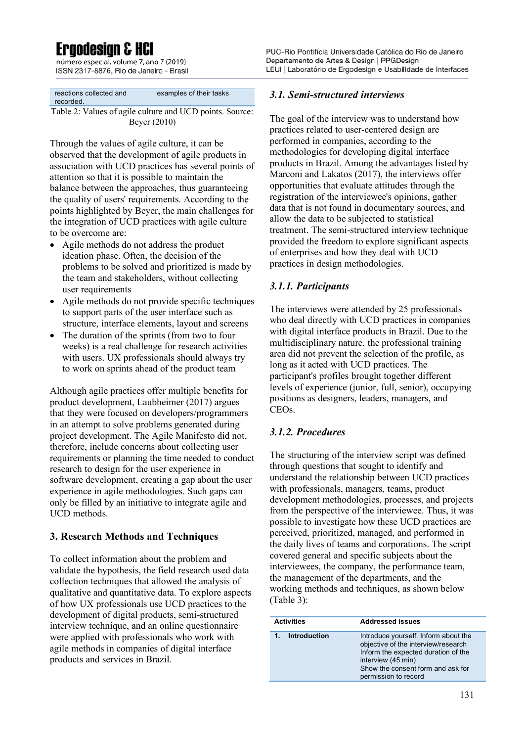## **Eraodesian & HCl**

número especial, volume 7, ano 7 (2019) ISSN 2317-8876, Rio de Janeiro - Brasil

| reactions collected and | examples of their tasks |
|-------------------------|-------------------------|
|                         |                         |
| recorded.               |                         |
|                         |                         |

Table 2: Values of agile culture and UCD points. Source: Beyer (2010)

Through the values of agile culture, it can be observed that the development of agile products in association with UCD practices has several points of attention so that it is possible to maintain the balance between the approaches, thus guaranteeing the quality of users' requirements. According to the points highlighted by Beyer, the main challenges for the integration of UCD practices with agile culture to be overcome are:

- Agile methods do not address the product ideation phase. Often, the decision of the problems to be solved and prioritized is made by the team and stakeholders, without collecting user requirements
- Agile methods do not provide specific techniques to support parts of the user interface such as structure, interface elements, layout and screens
- The duration of the sprints (from two to four weeks) is a real challenge for research activities with users. UX professionals should always try to work on sprints ahead of the product team

Although agile practices offer multiple benefits for product development, Laubheimer (2017) argues that they were focused on developers/programmers in an attempt to solve problems generated during project development. The Agile Manifesto did not, therefore, include concerns about collecting user requirements or planning the time needed to conduct research to design for the user experience in software development, creating a gap about the user experience in agile methodologies. Such gaps can only be filled by an initiative to integrate agile and UCD methods.

### **3. Research Methods and Techniques**

To collect information about the problem and validate the hypothesis, the field research used data collection techniques that allowed the analysis of qualitative and quantitative data. To explore aspects of how UX professionals use UCD practices to the development of digital products, semi-structured interview technique, and an online questionnaire were applied with professionals who work with agile methods in companies of digital interface products and services in Brazil.

PUC-Rio Pontifícia Universidade Católica do Rio de Janeiro Departamento de Artes & Design | PPGDesign LEUI | Laboratório de Ergodesign e Usabilidade de Interfaces

#### *3.1. Semi-structured interviews*

The goal of the interview was to understand how practices related to user-centered design are performed in companies, according to the methodologies for developing digital interface products in Brazil. Among the advantages listed by Marconi and Lakatos (2017), the interviews offer opportunities that evaluate attitudes through the registration of the interviewee's opinions, gather data that is not found in documentary sources, and allow the data to be subjected to statistical treatment. The semi-structured interview technique provided the freedom to explore significant aspects of enterprises and how they deal with UCD practices in design methodologies.

#### *3.1.1. Participants*

The interviews were attended by 25 professionals who deal directly with UCD practices in companies with digital interface products in Brazil. Due to the multidisciplinary nature, the professional training area did not prevent the selection of the profile, as long as it acted with UCD practices. The participant's profiles brought together different levels of experience (junior, full, senior), occupying positions as designers, leaders, managers, and CEOs.

### *3.1.2. Procedures*

The structuring of the interview script was defined through questions that sought to identify and understand the relationship between UCD practices with professionals, managers, teams, product development methodologies, processes, and projects from the perspective of the interviewee. Thus, it was possible to investigate how these UCD practices are perceived, prioritized, managed, and performed in the daily lives of teams and corporations. The script covered general and specific subjects about the interviewees, the company, the performance team, the management of the departments, and the working methods and techniques, as shown below (Table 3):

| <b>Activities</b> | <b>Addressed issues</b>                                                                                                                                                                               |
|-------------------|-------------------------------------------------------------------------------------------------------------------------------------------------------------------------------------------------------|
| Introduction      | Introduce yourself. Inform about the<br>objective of the interview/research<br>Inform the expected duration of the<br>interview (45 min)<br>Show the consent form and ask for<br>permission to record |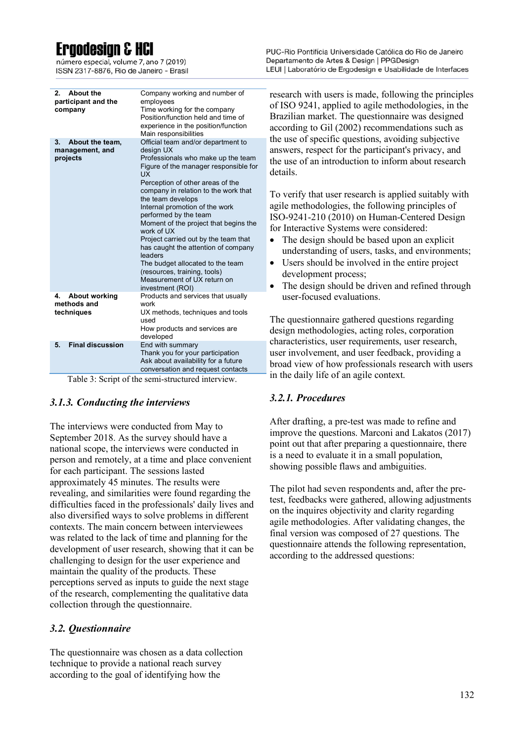## **Ergodesian & H**

número especial, volume 7, ano 7 (2019) ISSN 2317-8876, Rio de Janeiro - Brasil PUC-Rio Pontifícia Universidade Católica do Rio de Janeiro Departamento de Artes & Design | PPGDesign LEUI | Laboratório de Ergodesign e Usabilidade de Interfaces

| <b>About the</b><br>2.<br>participant and the<br>company | Company working and number of<br>employees<br>Time working for the company<br>Position/function held and time of<br>experience in the position/function<br>Main responsibilities                                                                                                                                                                                                                                                                                                                                                                                         |
|----------------------------------------------------------|--------------------------------------------------------------------------------------------------------------------------------------------------------------------------------------------------------------------------------------------------------------------------------------------------------------------------------------------------------------------------------------------------------------------------------------------------------------------------------------------------------------------------------------------------------------------------|
| 3.<br>About the team,<br>management, and<br>projects     | Official team and/or department to<br>design UX<br>Professionals who make up the team<br>Figure of the manager responsible for<br>UX<br>Perception of other areas of the<br>company in relation to the work that<br>the team develops<br>Internal promotion of the work<br>performed by the team<br>Moment of the project that begins the<br>work of UX<br>Project carried out by the team that<br>has caught the attention of company<br>leaders<br>The budget allocated to the team<br>(resources, training, tools)<br>Measurement of UX return on<br>investment (ROI) |
| <b>About working</b><br>4.<br>methods and<br>techniques  | Products and services that usually<br>work<br>UX methods, techniques and tools<br>used<br>How products and services are<br>developed                                                                                                                                                                                                                                                                                                                                                                                                                                     |
| <b>Final discussion</b><br>5.                            | End with summary<br>Thank you for your participation<br>Ask about availability for a future<br>conversation and request contacts                                                                                                                                                                                                                                                                                                                                                                                                                                         |

Table 3: Script of the semi-structured interview.

#### *3.1.3. Conducting the interviews*

The interviews were conducted from May to September 2018. As the survey should have a national scope, the interviews were conducted in person and remotely, at a time and place convenient for each participant. The sessions lasted approximately 45 minutes. The results were revealing, and similarities were found regarding the difficulties faced in the professionals' daily lives and also diversified ways to solve problems in different contexts. The main concern between interviewees was related to the lack of time and planning for the development of user research, showing that it can be challenging to design for the user experience and maintain the quality of the products. These perceptions served as inputs to guide the next stage of the research, complementing the qualitative data collection through the questionnaire.

#### *3.2. Questionnaire*

The questionnaire was chosen as a data collection technique to provide a national reach survey according to the goal of identifying how the

research with users is made, following the principles of ISO 9241, applied to agile methodologies, in the Brazilian market. The questionnaire was designed according to Gil (2002) recommendations such as the use of specific questions, avoiding subjective answers, respect for the participant's privacy, and the use of an introduction to inform about research details.

To verify that user research is applied suitably with agile methodologies, the following principles of ISO-9241-210 (2010) on Human-Centered Design for Interactive Systems were considered:

- The design should be based upon an explicit understanding of users, tasks, and environments;
- Users should be involved in the entire project development process;
- The design should be driven and refined through user-focused evaluations.

The questionnaire gathered questions regarding design methodologies, acting roles, corporation characteristics, user requirements, user research, user involvement, and user feedback, providing a broad view of how professionals research with users in the daily life of an agile context.

#### *3.2.1. Procedures*

After drafting, a pre-test was made to refine and improve the questions. Marconi and Lakatos (2017) point out that after preparing a questionnaire, there is a need to evaluate it in a small population, showing possible flaws and ambiguities.

The pilot had seven respondents and, after the pretest, feedbacks were gathered, allowing adjustments on the inquires objectivity and clarity regarding agile methodologies. After validating changes, the final version was composed of 27 questions. The questionnaire attends the following representation, according to the addressed questions: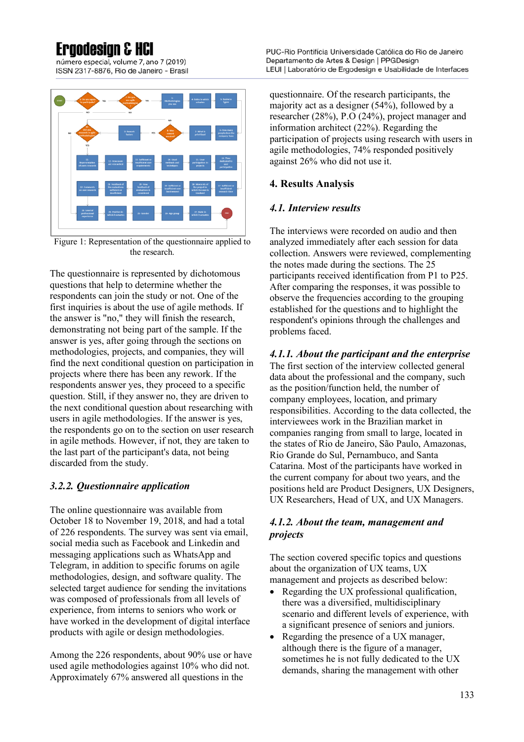## **Eraodesian &**

número especial, volume 7, ano 7 (2019) ISSN 2317-8876, Rio de Janeiro - Brasil



Figure 1: Representation of the questionnaire applied to the research.

The questionnaire is represented by dichotomous questions that help to determine whether the respondents can join the study or not. One of the first inquiries is about the use of agile methods. If the answer is "no," they will finish the research, demonstrating not being part of the sample. If the answer is yes, after going through the sections on methodologies, projects, and companies, they will find the next conditional question on participation in projects where there has been any rework. If the respondents answer yes, they proceed to a specific question. Still, if they answer no, they are driven to the next conditional question about researching with users in agile methodologies. If the answer is yes, the respondents go on to the section on user research in agile methods. However, if not, they are taken to the last part of the participant's data, not being discarded from the study.

### *3.2.2. Questionnaire application*

The online questionnaire was available from October 18 to November 19, 2018, and had a total of 226 respondents. The survey was sent via email, social media such as Facebook and Linkedin and messaging applications such as WhatsApp and Telegram, in addition to specific forums on agile methodologies, design, and software quality. The selected target audience for sending the invitations was composed of professionals from all levels of experience, from interns to seniors who work or have worked in the development of digital interface products with agile or design methodologies.

Among the 226 respondents, about 90% use or have used agile methodologies against 10% who did not. Approximately 67% answered all questions in the

questionnaire. Of the research participants, the majority act as a designer (54%), followed by a researcher (28%), P.O (24%), project manager and information architect (22%). Regarding the participation of projects using research with users in agile methodologies, 74% responded positively against 26% who did not use it.

### **4. Results Analysis**

#### *4.1. Interview results*

The interviews were recorded on audio and then analyzed immediately after each session for data collection. Answers were reviewed, complementing the notes made during the sections. The 25 participants received identification from P1 to P25. After comparing the responses, it was possible to observe the frequencies according to the grouping established for the questions and to highlight the respondent's opinions through the challenges and problems faced.

### *4.1.1. About the participant and the enterprise*

The first section of the interview collected general data about the professional and the company, such as the position/function held, the number of company employees, location, and primary responsibilities. According to the data collected, the interviewees work in the Brazilian market in companies ranging from small to large, located in the states of Rio de Janeiro, São Paulo, Amazonas, Rio Grande do Sul, Pernambuco, and Santa Catarina. Most of the participants have worked in the current company for about two years, and the positions held are Product Designers, UX Designers, UX Researchers, Head of UX, and UX Managers.

#### *4.1.2. About the team, management and projects*

The section covered specific topics and questions about the organization of UX teams, UX management and projects as described below:

- Regarding the UX professional qualification, there was a diversified, multidisciplinary scenario and different levels of experience, with a significant presence of seniors and juniors.
- Regarding the presence of a UX manager, although there is the figure of a manager, sometimes he is not fully dedicated to the UX demands, sharing the management with other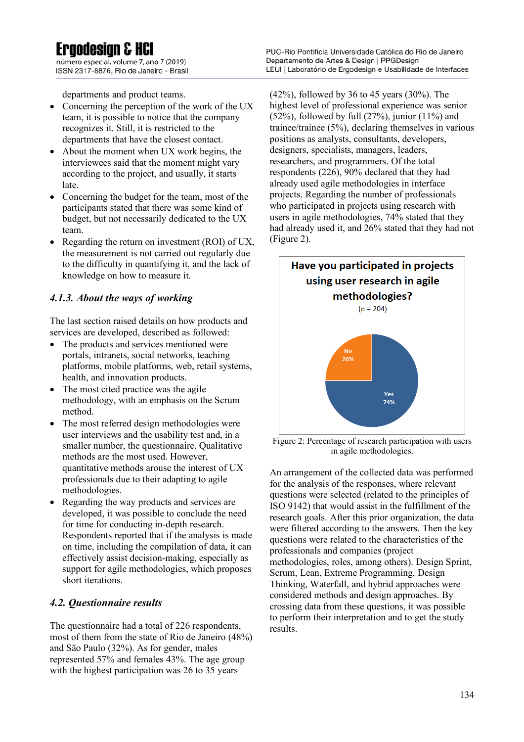# **Ergodesian & H**

número especial, volume 7, ano 7 (2019) ISSN 2317-8876, Rio de Janeiro - Brasil

departments and product teams.

- Concerning the perception of the work of the UX team, it is possible to notice that the company recognizes it. Still, it is restricted to the departments that have the closest contact.
- About the moment when UX work begins, the interviewees said that the moment might vary according to the project, and usually, it starts late.
- Concerning the budget for the team, most of the participants stated that there was some kind of budget, but not necessarily dedicated to the UX team.
- Regarding the return on investment (ROI) of UX, the measurement is not carried out regularly due to the difficulty in quantifying it, and the lack of knowledge on how to measure it.

### *4.1.3. About the ways of working*

The last section raised details on how products and services are developed, described as followed:

- The products and services mentioned were portals, intranets, social networks, teaching platforms, mobile platforms, web, retail systems, health, and innovation products.
- The most cited practice was the agile methodology, with an emphasis on the Scrum method.
- The most referred design methodologies were user interviews and the usability test and, in a smaller number, the questionnaire. Qualitative methods are the most used. However, quantitative methods arouse the interest of UX professionals due to their adapting to agile methodologies.
- Regarding the way products and services are developed, it was possible to conclude the need for time for conducting in-depth research. Respondents reported that if the analysis is made on time, including the compilation of data, it can effectively assist decision-making, especially as support for agile methodologies, which proposes short iterations.

### *4.2. Questionnaire results*

The questionnaire had a total of 226 respondents, most of them from the state of Rio de Janeiro (48%) and São Paulo (32%). As for gender, males represented 57% and females 43%. The age group with the highest participation was 26 to 35 years

PUC-Rio Pontifícia Universidade Católica do Rio de Janeiro Departamento de Artes & Design | PPGDesign LEUI | Laboratório de Ergodesign e Usabilidade de Interfaces

(42%), followed by 36 to 45 years (30%). The highest level of professional experience was senior (52%), followed by full  $(27%)$ , junior  $(11%)$  and trainee/trainee (5%), declaring themselves in various positions as analysts, consultants, developers, designers, specialists, managers, leaders, researchers, and programmers. Of the total respondents (226), 90% declared that they had already used agile methodologies in interface projects. Regarding the number of professionals who participated in projects using research with users in agile methodologies, 74% stated that they had already used it, and 26% stated that they had not (Figure 2).



Figure 2: Percentage of research participation with users in agile methodologies.

An arrangement of the collected data was performed for the analysis of the responses, where relevant questions were selected (related to the principles of ISO 9142) that would assist in the fulfillment of the research goals. After this prior organization, the data were filtered according to the answers. Then the key questions were related to the characteristics of the professionals and companies (project methodologies, roles, among others). Design Sprint, Scrum, Lean, Extreme Programming, Design Thinking, Waterfall, and hybrid approaches were considered methods and design approaches. By crossing data from these questions, it was possible to perform their interpretation and to get the study results.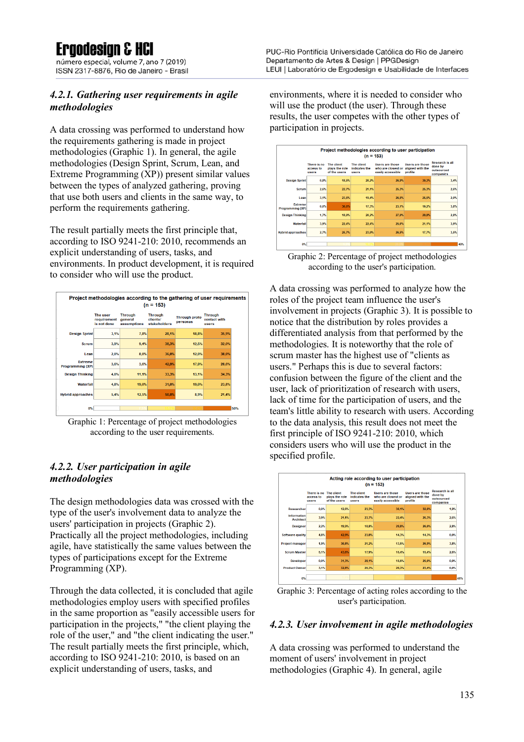**Ergodesian & H** 

número especial, volume 7, ano 7 (2019) ISSN 2317-8876, Rio de Janeiro - Brasil

#### *4.2.1. Gathering user requirements in agile methodologies*

A data crossing was performed to understand how the requirements gathering is made in project methodologies (Graphic 1). In general, the agile methodologies (Design Sprint, Scrum, Lean, and Extreme Programming (XP)) present similar values between the types of analyzed gathering, proving that use both users and clients in the same way, to perform the requirements gathering.

The result partially meets the first principle that, according to ISO 9241-210: 2010, recommends an explicit understanding of users, tasks, and environments. In product development, it is required to consider who will use the product.

| Project methodologies according to the gathering of user requirements<br>$(n = 153)$ |                                        |                                          |                                            |                                  |                                         |  |
|--------------------------------------------------------------------------------------|----------------------------------------|------------------------------------------|--------------------------------------------|----------------------------------|-----------------------------------------|--|
|                                                                                      | The user<br>requirement<br>is not done | <b>Through</b><br>general<br>assumptions | <b>Through</b><br>clients/<br>stakeholders | <b>Through proto</b><br>personas | <b>Through</b><br>contact with<br>users |  |
| <b>Design Sprint</b>                                                                 | 3.1%                                   | 7.8%                                     | 28.1%                                      | 18.8%                            | 35,9%                                   |  |
| <b>Scrum</b>                                                                         | 3,9%                                   | 9,4%                                     | 38,3%                                      | 12,5%                            | 32,0%                                   |  |
| Lean                                                                                 | 2,0%                                   | 8,0%                                     | 36.0%                                      | 12,0%                            | 38,0%                                   |  |
| <b>Extreme</b><br>Programming (XP)                                                   | 3.6%                                   | 3,6%                                     | 42.9%                                      | 17.9%                            | 28,6%                                   |  |
| <b>Design Thinking</b>                                                               | 4,0%                                   | 11,1%                                    | 33,3%                                      | 13,1%                            | 34,3%                                   |  |
| <b>Waterfall</b>                                                                     | 4,8%                                   | 19.0%                                    | 31.0%                                      | 19.0%                            | 23,8%                                   |  |
| <b>Hybrid approaches</b>                                                             | 5,4%                                   | 12,5%                                    | 50.0%                                      | 8,9%                             | 21,4%                                   |  |
| 0%                                                                                   |                                        |                                          |                                            |                                  | 50%                                     |  |

Graphic 1: Percentage of project methodologies according to the user requirements.

### *4.2.2. User participation in agile methodologies*

The design methodologies data was crossed with the type of the user's involvement data to analyze the users' participation in projects (Graphic 2). Practically all the project methodologies, including agile, have statistically the same values between the types of participations except for the Extreme Programming (XP).

Through the data collected, it is concluded that agile methodologies employ users with specified profiles in the same proportion as "easily accessible users for participation in the projects," "the client playing the role of the user," and "the client indicating the user." The result partially meets the first principle, which, according to ISO 9241-210: 2010, is based on an explicit understanding of users, tasks, and

PUC-Rio Pontifícia Universidade Católica do Rio de Janeiro Departamento de Artes & Design | PPGDesign LEUI | Laboratório de Ergodesign e Usabilidade de Interfaces

environments, where it is needed to consider who will use the product (the user). Through these results, the user competes with the other types of participation in projects.

|                                    |                                   |                                              | $(n = 153)$                          |                                                                   |                                                       |                                                              |
|------------------------------------|-----------------------------------|----------------------------------------------|--------------------------------------|-------------------------------------------------------------------|-------------------------------------------------------|--------------------------------------------------------------|
|                                    | There is no<br>access to<br>users | The client<br>plays the role<br>of the users | The client<br>indicates the<br>users | <b>Users are those</b><br>who are closest or<br>easily accessible | <b>Users are those</b><br>aligned with the<br>profile | <b>Research is all</b><br>done by<br>outsourced<br>companies |
| <b>Design Sprint</b>               | 0.8%                              | 18.5%                                        | 20.2%                                | 26.9%                                                             | 30.3%                                                 | 3.4%                                                         |
| <b>Scrum</b>                       | 2.6%                              | 22.7%                                        | 21.1%                                | 25.3%                                                             | 25.3%                                                 | 2.6%                                                         |
| Lean                               | 3,1%                              | 23,5%                                        | 19.4%                                | 26.5%                                                             | 25,5%                                                 | 2,0%                                                         |
| <b>Extreme</b><br>Programming (XP) | 0.0%                              | 36.5%                                        | 17.3%                                | 23.1%                                                             | 19.2%                                                 | 3.8%                                                         |
| <b>Design Thinking</b>             | 1.7%                              | 18.0%                                        | 20.2%                                | 27.0%                                                             | 29.8%                                                 | 2.8%                                                         |
| <b>Waterfall</b>                   | 3.9%                              | 22.4%                                        | 22.4%                                | 25.0%                                                             | 21.1%                                                 | 3.9%                                                         |
| <b>Hybrid approaches</b>           | 2.7%                              | 25,7%                                        | 23,0%                                | 26,5%                                                             | 17,7%                                                 | 3,5%                                                         |

Graphic 2: Percentage of project methodologies according to the user's participation.

A data crossing was performed to analyze how the roles of the project team influence the user's involvement in projects (Graphic 3). It is possible to notice that the distribution by roles provides a differentiated analysis from that performed by the methodologies. It is noteworthy that the role of scrum master has the highest use of "clients as users." Perhaps this is due to several factors: confusion between the figure of the client and the user, lack of prioritization of research with users, lack of time for the participation of users, and the team's little ability to research with users. According to the data analysis, this result does not meet the first principle of ISO 9241-210: 2010, which considers users who will use the product in the specified profile.



Graphic 3: Percentage of acting roles according to the user's participation.

#### *4.2.3. User involvement in agile methodologies*

A data crossing was performed to understand the moment of users' involvement in project methodologies (Graphic 4). In general, agile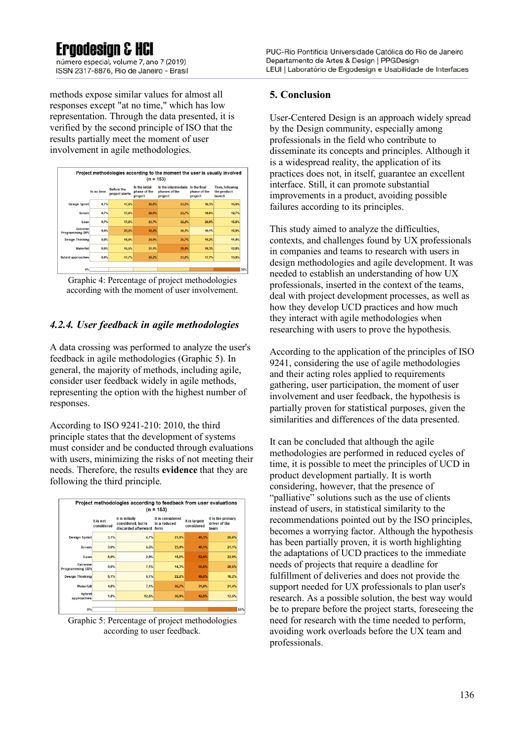## **Eraodesian & H**

número especial, volume 7, ano 7 (2019) ISSN 2317-8876, Rio de Janeiro - Brasil

methods expose similar values for almost all responses except "at no time," which has low representation. Through the data presented, it is verified by the second principle of ISO that the results partially meet the moment of user involvement in agile methodologies.

| Project methodologies according to the moment the user is usually involved<br>$(n = 153)$ |            |                                     |                                           |                                                 |                                         |                                          |  |
|-------------------------------------------------------------------------------------------|------------|-------------------------------------|-------------------------------------------|-------------------------------------------------|-----------------------------------------|------------------------------------------|--|
|                                                                                           | In no time | <b>Before the</b><br>project starts | In the initial<br>phase of the<br>project | In the intermediate<br>phases of the<br>project | In the final<br>phase of the<br>project | Then, following<br>the product<br>launch |  |
| <b>Design Sprint</b>                                                                      | 0.7%       | 17.6%                               | 26.8%                                     | 23.5%                                           | 16,3%                                   | 15.0%                                    |  |
| <b>Scrum</b>                                                                              | 0.7%       | 17.0%                               | 28,0%                                     | 23,7%                                           | 18,0%                                   | 12.7%                                    |  |
| Lean                                                                                      | 0.7%       | 17,8%                               | 23,7%                                     | 22,2%                                           | 20,0%                                   | 15,6%                                    |  |
| <b>Extreme</b><br>Programming (XP)                                                        | 0.0%       | 23.2%                               | 30.4%                                     | 20.3%                                           | 10.1%                                   | 15,9%                                    |  |
| <b>Design Thinking</b>                                                                    | 0.8%       | 18.0%                               | 24.9%                                     | 25.7%                                           | 19.2%                                   | 11,4%                                    |  |
| <b>Waterfall</b>                                                                          | 0.9%       | 16.5%                               | 21.1%                                     | 29.4%                                           | 19.3%                                   | 12.8%                                    |  |
| <b>Hybrid approaches</b>                                                                  | 0.8%       | 17,7%                               | 26.2%                                     | 23.8%                                           | 17,7%                                   | 13,8%                                    |  |
| 0%                                                                                        |            |                                     |                                           |                                                 |                                         |                                          |  |

Graphic 4: Percentage of project methodologies according with the moment of user involvement.

### *4.2.4. User feedback in agile methodologies*

A data crossing was performed to analyze the user's feedback in agile methodologies (Graphic 5). In general, the majority of methods, including agile, consider user feedback widely in agile methods, representing the option with the highest number of responses.

According to ISO 9241-210: 2010, the third principle states that the development of systems must consider and be conducted through evaluations with users, minimizing the risks of not meeting their needs. Therefore, the results **evidence** that they are following the third principle.

| Project methodologies according to feedback from user evaluations<br>$(n = 153)$ |                         |                                                                   |                                  |                             |                                            |  |
|----------------------------------------------------------------------------------|-------------------------|-------------------------------------------------------------------|----------------------------------|-----------------------------|--------------------------------------------|--|
|                                                                                  | It is not<br>considered | It is initially<br>considered, but is<br>discarded afterward form | It is considered<br>in a reduced | It is largely<br>considered | It is the primary<br>driver of the<br>team |  |
| <b>Design Sprint</b>                                                             | 3,1%                    | 4,7%                                                              | 21,9%                            | 45,3%                       | 25,0%                                      |  |
| <b>Scrum</b>                                                                     | 3.9%                    | 5.5%                                                              | 23.4%                            | 46.1%                       | 21.1%                                      |  |
| Lean                                                                             | 6,0%                    | 2,0%                                                              | 18,0%                            | 52,0%                       | 22,0%                                      |  |
| <b>Extreme</b><br>Programming (XP)                                               | 0.0%                    | 7,1%                                                              | 14,3%                            | 50.0%                       | 28.6%                                      |  |
| <b>Design Thinking</b>                                                           | 5,1%                    | 5,1%                                                              | 22,2%                            | 49.5%                       | 18,2%                                      |  |
| <b>Waterfall</b>                                                                 | 4.8%                    | 7,1%                                                              | 35.7%                            | 31.0%                       | 21.4%                                      |  |
| <b>Hybrid</b><br>approaches                                                      | 1,8%                    | 12,5%                                                             | 30.4%                            | 42,9%                       | 12,5%                                      |  |
| $0\%$                                                                            |                         |                                                                   |                                  |                             |                                            |  |

Graphic 5: Percentage of project methodologies according to user feedback.

#### **5. Conclusion**

User-Centered Design is an approach widely spread by the Design community, especially among professionals in the field who contribute to disseminate its concepts and principles. Although it is a widespread reality, the application of its practices does not, in itself, guarantee an excellent interface. Still, it can promote substantial improvements in a product, avoiding possible failures according to its principles.

This study aimed to analyze the difficulties, contexts, and challenges found by UX professionals in companies and teams to research with users in design methodologies and agile development. It was needed to establish an understanding of how UX professionals, inserted in the context of the teams, deal with project development processes, as well as how they develop UCD practices and how much they interact with agile methodologies when researching with users to prove the hypothesis.

According to the application of the principles of ISO 9241, considering the use of agile methodologies and their acting roles applied to requirements gathering, user participation, the moment of user involvement and user feedback, the hypothesis is partially proven for statistical purposes, given the similarities and differences of the data presented.

It can be concluded that although the agile methodologies are performed in reduced cycles of time, it is possible to meet the principles of UCD in product development partially. It is worth considering, however, that the presence of "palliative" solutions such as the use of clients instead of users, in statistical similarity to the recommendations pointed out by the ISO principles, becomes a worrying factor. Although the hypothesis has been partially proven, it is worth highlighting the adaptations of UCD practices to the immediate needs of projects that require a deadline for fulfillment of deliveries and does not provide the support needed for UX professionals to plan user's research. As a possible solution, the best way would be to prepare before the project starts, foreseeing the need for research with the time needed to perform, avoiding work overloads before the UX team and professionals.